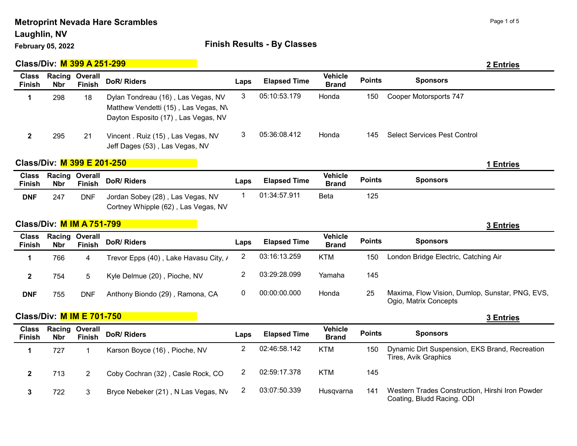## Laughlin, NV

# February 05, 2022 **Finish Results - By Classes**

|                               | Class/Div: M 399 A 251-299       |                          |                                                                                                                   |                |                     |                                |               |                                                                          | 2 Entries        |
|-------------------------------|----------------------------------|--------------------------|-------------------------------------------------------------------------------------------------------------------|----------------|---------------------|--------------------------------|---------------|--------------------------------------------------------------------------|------------------|
| <b>Class</b><br><b>Finish</b> | Racing<br><b>Nbr</b>             | Overall<br><b>Finish</b> | <b>DoR/ Riders</b>                                                                                                | Laps           | <b>Elapsed Time</b> | <b>Vehicle</b><br><b>Brand</b> | <b>Points</b> | <b>Sponsors</b>                                                          |                  |
| 1                             | 298                              | 18                       | Dylan Tondreau (16), Las Vegas, NV<br>Matthew Vendetti (15), Las Vegas, N\<br>Dayton Esposito (17), Las Vegas, NV | 3              | 05:10:53.179        | Honda                          | 150           | Cooper Motorsports 747                                                   |                  |
| $\boldsymbol{2}$              | 295                              | 21                       | Vincent . Ruiz (15), Las Vegas, NV<br>Jeff Dages (53), Las Vegas, NV                                              | 3              | 05:36:08.412        | Honda                          | 145           | <b>Select Services Pest Control</b>                                      |                  |
|                               | Class/Div: M 399 E 201-250       |                          |                                                                                                                   |                |                     |                                |               |                                                                          | 1 Entries        |
| <b>Class</b><br><b>Finish</b> | Racing<br><b>Nbr</b>             | Overall<br><b>Finish</b> | <b>DoR/ Riders</b>                                                                                                | Laps           | <b>Elapsed Time</b> | <b>Vehicle</b><br><b>Brand</b> | <b>Points</b> | <b>Sponsors</b>                                                          |                  |
| <b>DNF</b>                    | 247                              | <b>DNF</b>               | Jordan Sobey (28), Las Vegas, NV<br>Cortney Whipple (62), Las Vegas, NV                                           | $\mathbf 1$    | 01:34:57.911        | <b>Beta</b>                    | 125           |                                                                          |                  |
|                               | <b>Class/Div: M IM A 751-799</b> |                          |                                                                                                                   |                |                     |                                |               |                                                                          | <b>3 Entries</b> |
| <b>Class</b><br><b>Finish</b> | Racing<br><b>Nbr</b>             | Overall<br><b>Finish</b> | <b>DoR/ Riders</b>                                                                                                | Laps           | <b>Elapsed Time</b> | <b>Vehicle</b><br><b>Brand</b> | <b>Points</b> | <b>Sponsors</b>                                                          |                  |
| 1                             | 766                              | 4                        | Trevor Epps (40), Lake Havasu City, /                                                                             | $\overline{2}$ | 03:16:13.259        | <b>KTM</b>                     | 150           | London Bridge Electric, Catching Air                                     |                  |
| $\mathbf 2$                   | 754                              | 5                        | Kyle Delmue (20), Pioche, NV                                                                                      | $\overline{2}$ | 03:29:28.099        |                                |               |                                                                          |                  |
|                               |                                  |                          |                                                                                                                   |                |                     | Yamaha                         | 145           |                                                                          |                  |
| <b>DNF</b>                    | 755                              | <b>DNF</b>               | Anthony Biondo (29), Ramona, CA                                                                                   | 0              | 00:00:00.000        | Honda                          | 25            | Maxima, Flow Vision, Dumlop, Sunstar, PNG, EVS,<br>Ogio, Matrix Concepts |                  |
|                               | <b>Class/Div: M IM E 701-750</b> |                          |                                                                                                                   |                |                     |                                |               |                                                                          | <b>3 Entries</b> |
| <b>Class</b><br><b>Finish</b> | Racing<br><b>Nbr</b>             | Overall<br><b>Finish</b> | <b>DoR/ Riders</b>                                                                                                | Laps           | <b>Elapsed Time</b> | <b>Vehicle</b><br><b>Brand</b> | <b>Points</b> | <b>Sponsors</b>                                                          |                  |
| 1                             | 727                              | 1                        | Karson Boyce (16), Pioche, NV                                                                                     | $\overline{c}$ | 02:46:58.142        | <b>KTM</b>                     | 150           | Dynamic Dirt Suspension, EKS Brand, Recreation<br>Tires, Avik Graphics   |                  |
| $\mathbf{2}$                  | 713                              | $\overline{2}$           | Coby Cochran (32), Casle Rock, CO                                                                                 | $\overline{c}$ | 02:59:17.378        | <b>KTM</b>                     | 145           |                                                                          |                  |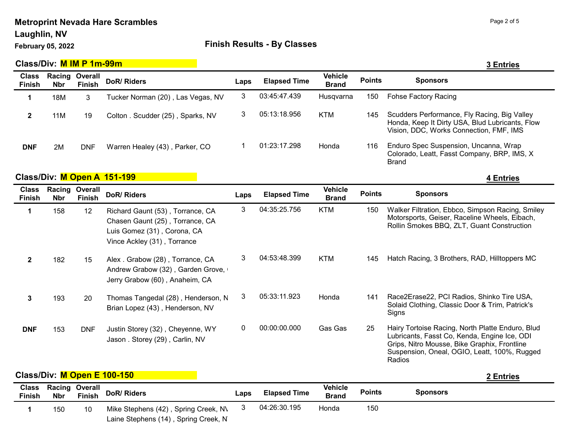#### Laughlin, NV

### February 05, 2022 **Finish Results - By Classes**

|                               | Class/Div: M IM P 1m-99m |                          |                                                                                                                                   |      |                     |                                |               | 3 Entries                                                                                                                                       |
|-------------------------------|--------------------------|--------------------------|-----------------------------------------------------------------------------------------------------------------------------------|------|---------------------|--------------------------------|---------------|-------------------------------------------------------------------------------------------------------------------------------------------------|
| <b>Class</b><br><b>Finish</b> | Racing<br><b>Nbr</b>     | Overall<br><b>Finish</b> | DoR/Riders                                                                                                                        | Laps | <b>Elapsed Time</b> | <b>Vehicle</b><br><b>Brand</b> | <b>Points</b> | <b>Sponsors</b>                                                                                                                                 |
| 1                             | 18M                      | 3                        | Tucker Norman (20), Las Vegas, NV                                                                                                 | 3    | 03:45:47.439        | Husqvarna                      | 150           | <b>Fohse Factory Racing</b>                                                                                                                     |
| $\mathbf 2$                   | 11M                      | 19                       | Colton . Scudder (25), Sparks, NV                                                                                                 | 3    | 05:13:18.956        | <b>KTM</b>                     | 145           | Scudders Performance, Fly Racing, Big Valley<br>Honda, Keep It Dirty USA, Blud Lubricants, Flow<br>Vision, DDC, Works Connection, FMF, IMS      |
| <b>DNF</b>                    | 2M                       | <b>DNF</b>               | Warren Healey (43), Parker, CO                                                                                                    |      | 01:23:17.298        | Honda                          | 116           | Enduro Spec Suspension, Uncanna, Wrap<br>Colorado, Leatt, Fasst Company, BRP, IMS, X<br><b>Brand</b>                                            |
|                               |                          |                          | Class/Div: M Open A 151-199                                                                                                       |      |                     |                                |               | 4 Entries                                                                                                                                       |
| <b>Class</b><br><b>Finish</b> | Racing<br><b>Nbr</b>     | Overall<br><b>Finish</b> | DoR/ Riders                                                                                                                       | Laps | <b>Elapsed Time</b> | <b>Vehicle</b><br><b>Brand</b> | <b>Points</b> | <b>Sponsors</b>                                                                                                                                 |
| 1                             | 158                      | 12                       | Richard Gaunt (53), Torrance, CA<br>Chasen Gaunt (25), Torrance, CA<br>Luis Gomez (31), Corona, CA<br>Vince Ackley (31), Torrance | 3    | 04:35:25.756        | <b>KTM</b>                     | 150           | Walker Filtration, Ebbco, Simpson Racing, Smiley<br>Motorsports, Geiser, Raceline Wheels, Eibach,<br>Rollin Smokes BBQ, ZLT, Guant Construction |
| $\mathbf{2}$                  | 182                      | 15                       | Alex . Grabow (28), Torrance, CA<br>Andrew Grabow (32), Garden Grove,<br>Jerry Grabow (60), Anaheim, CA                           | 3    | 04:53:48.399        | <b>KTM</b>                     | 145           | Hatch Racing, 3 Brothers, RAD, Hilltoppers MC                                                                                                   |
| 3                             |                          |                          |                                                                                                                                   |      |                     |                                |               |                                                                                                                                                 |

**Class/Div:** M Open E 100-150

Brian Lopez (43) , Henderson, NV

Justin Storey (32) , Cheyenne, WY Jason . Storey (29) , Carlin, NV

Solaid Clothing, Classic Door & Trim, Patrick's

Lubricants, Fasst Co, Kenda, Engine Ice, ODI Grips, Nitro Mousse, Bike Graphix, Frontline Suspension, Oneal, OGIO, Leatt, 100%, Rugged

Signs

Radios

| <b>Class</b><br><b>Finish</b> | <b>Racing Overall</b><br><b>Nbr</b> | Finish | DoR/ Riders                                                                  | Laps | <b>Elapsed Time</b> | Vehicle<br><b>Brand</b> | <b>Points</b> | Sponsors |  |
|-------------------------------|-------------------------------------|--------|------------------------------------------------------------------------------|------|---------------------|-------------------------|---------------|----------|--|
|                               | 150                                 | 10     | Mike Stephens (42), Spring Creek, N\<br>Laine Stephens (14), Spring Creek, N |      | 04:26:30.195        | Honda                   | 150           |          |  |

DNF 153 DNF Justin Storey (32), Cheyenne, WY 0 00:00:00.000 Gas Gas 25 Hairy Tortoise Racing, North Platte Enduro, Blud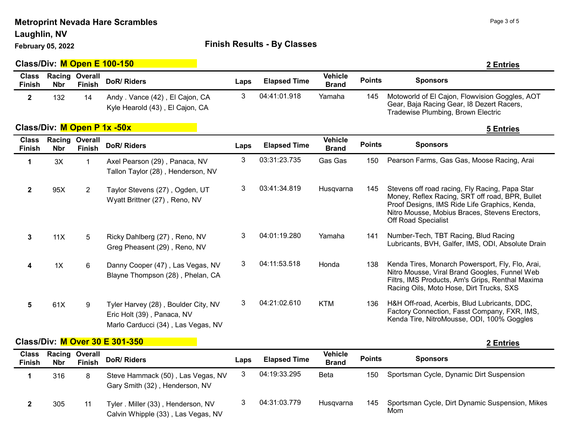Laughlin, NV

#### February 05, 2022 **Finish Results - By Classes**

|                               |                      |                          | Class/Div: M Open E 100-150                                                                             |      |                     |                                |               | 2 Entries                                                                                                                                                                                                                          |
|-------------------------------|----------------------|--------------------------|---------------------------------------------------------------------------------------------------------|------|---------------------|--------------------------------|---------------|------------------------------------------------------------------------------------------------------------------------------------------------------------------------------------------------------------------------------------|
| <b>Class</b><br><b>Finish</b> | Racing<br><b>Nbr</b> | Overall<br>Finish        | DoR/Riders                                                                                              | Laps | <b>Elapsed Time</b> | <b>Vehicle</b><br><b>Brand</b> | <b>Points</b> | <b>Sponsors</b>                                                                                                                                                                                                                    |
| $\mathbf{2}$                  | 132                  | 14                       | Andy . Vance (42), El Cajon, CA<br>Kyle Hearold (43), El Cajon, CA                                      | 3    | 04:41:01.918        | Yamaha                         | 145           | Motoworld of El Cajon, Flowvision Goggles, AOT<br>Gear, Baja Racing Gear, I8 Dezert Racers,<br>Tradewise Plumbing, Brown Electric                                                                                                  |
|                               |                      |                          | Class/Div: M Open P 1x -50x                                                                             |      |                     |                                |               | 5 Entries                                                                                                                                                                                                                          |
| <b>Class</b><br><b>Finish</b> | Racing<br><b>Nbr</b> | Overall<br><b>Finish</b> | <b>DoR/ Riders</b>                                                                                      | Laps | <b>Elapsed Time</b> | <b>Vehicle</b><br><b>Brand</b> | <b>Points</b> | <b>Sponsors</b>                                                                                                                                                                                                                    |
| $\mathbf 1$                   | 3X                   | 1                        | Axel Pearson (29), Panaca, NV<br>Tallon Taylor (28), Henderson, NV                                      | 3    | 03:31:23.735        | Gas Gas                        | 150           | Pearson Farms, Gas Gas, Moose Racing, Arai                                                                                                                                                                                         |
| $\mathbf{2}$                  | 95X                  | $\overline{2}$           | Taylor Stevens (27), Ogden, UT<br>Wyatt Brittner (27), Reno, NV                                         | 3    | 03:41:34.819        | Husqvarna                      | 145           | Stevens off road racing, Fly Racing, Papa Star<br>Money, Reflex Racing, SRT off road, BPR, Bullet<br>Proof Designs, IMS Ride Life Graphics, Kenda,<br>Nitro Mousse, Mobius Braces, Stevens Erectors,<br><b>Off Road Specialist</b> |
| $\mathbf{3}$                  | 11X                  | 5                        | Ricky Dahlberg (27), Reno, NV<br>Greg Pheasent (29), Reno, NV                                           | 3    | 04:01:19.280        | Yamaha                         | 141           | Number-Tech, TBT Racing, Blud Racing<br>Lubricants, BVH, Galfer, IMS, ODI, Absolute Drain                                                                                                                                          |
| 4                             | 1X                   | 6                        | Danny Cooper (47), Las Vegas, NV<br>Blayne Thompson (28), Phelan, CA                                    | 3    | 04:11:53.518        | Honda                          | 138           | Kenda Tires, Monarch Powersport, Fly, Flo, Arai,<br>Nitro Mousse, Viral Brand Googles, Funnel Web<br>Filtrs, IMS Products, Am's Grips, Renthal Maxima<br>Racing Oils, Moto Hose, Dirt Trucks, SXS                                  |
| 5                             | 61X                  | 9                        | Tyler Harvey (28), Boulder City, NV<br>Eric Holt (39), Panaca, NV<br>Marlo Carducci (34), Las Vegas, NV | 3    | 04:21:02.610        | <b>KTM</b>                     | 136           | H&H Off-road, Acerbis, Blud Lubricants, DDC,<br>Factory Connection, Fasst Company, FXR, IMS,<br>Kenda Tire, NitroMousse, ODI, 100% Goggles                                                                                         |

### Class/Div: M Over 30 E 301-350 2 Entries

Sponsors Class Finish Racing Overall Nbr Finish DoR/ Riders Laps Elapsed Time **Vehicle** venicie Points<br>Brand Points Steve Hammack (50) , Las Vegas, NV Gary Smith (32) , Henderson, NV 1 316 8 Steve Hammack (50), Las Vegas, NV 3 04:19:33.295 Beta 150 Sportsman Cycle, Dynamic Dirt Suspension Tyler . Miller (33) , Henderson, NV Calvin Whipple (33) , Las Vegas, NV 2 305 11 Tyler . Miller (33), Henderson, NV 3 04:31:03.779 Husqvarna 145 Sportsman Cycle, Dirt Dynamic Suspension, Mikes Mom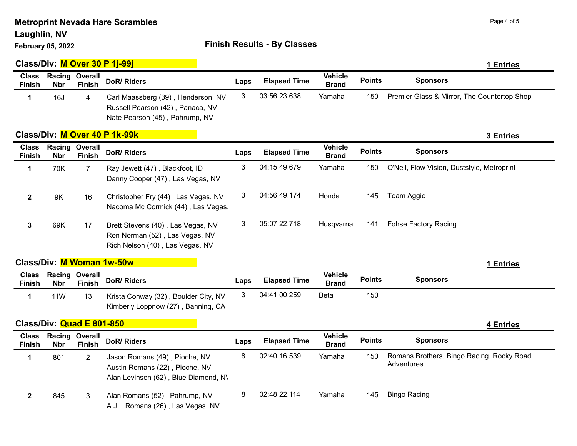Laughlin, NV

# February 05, 2022 **Finish Results - By Classes**

|                               |                           |                          | Class/Div: M Over 30 P 1j-99j                                                                            |      |                     |                                |               | 1 Entries                                               |
|-------------------------------|---------------------------|--------------------------|----------------------------------------------------------------------------------------------------------|------|---------------------|--------------------------------|---------------|---------------------------------------------------------|
| <b>Class</b><br><b>Finish</b> | Racing<br><b>Nbr</b>      | Overall<br><b>Finish</b> | <b>DoR/ Riders</b>                                                                                       | Laps | <b>Elapsed Time</b> | <b>Vehicle</b><br><b>Brand</b> | <b>Points</b> | <b>Sponsors</b>                                         |
| 1                             | 16J                       | 4                        | Carl Maassberg (39), Henderson, NV<br>Russell Pearson (42), Panaca, NV<br>Nate Pearson (45), Pahrump, NV | 3    | 03:56:23.638        | Yamaha                         | 150           | Premier Glass & Mirror, The Countertop Shop             |
|                               |                           |                          | Class/Div: M Over 40 P 1k-99k                                                                            |      |                     |                                |               | 3 Entries                                               |
| <b>Class</b><br><b>Finish</b> | Racing<br><b>Nbr</b>      | Overall<br><b>Finish</b> | <b>DoR/ Riders</b>                                                                                       | Laps | <b>Elapsed Time</b> | <b>Vehicle</b><br><b>Brand</b> | <b>Points</b> | <b>Sponsors</b>                                         |
| 1                             | 70K                       | $\overline{7}$           | Ray Jewett (47), Blackfoot, ID<br>Danny Cooper (47), Las Vegas, NV                                       | 3    | 04:15:49.679        | Yamaha                         | 150           | O'Neil, Flow Vision, Duststyle, Metroprint              |
| $\mathbf{2}$                  | 9K                        | 16                       | Christopher Fry (44), Las Vegas, NV<br>Nacoma Mc Cormick (44), Las Vegas                                 | 3    | 04:56:49.174        | Honda                          | 145           | Team Aggie                                              |
| 3                             | 69K                       | 17                       | Brett Stevens (40), Las Vegas, NV<br>Ron Norman (52), Las Vegas, NV<br>Rich Nelson (40), Las Vegas, NV   | 3    | 05:07:22.718        | Husqvarna                      | 141           | <b>Fohse Factory Racing</b>                             |
|                               |                           |                          | Class/Div: M Woman 1w-50w                                                                                |      |                     |                                |               | 1 Entries                                               |
| <b>Class</b><br><b>Finish</b> | Racing<br><b>Nbr</b>      | Overall<br><b>Finish</b> | <b>DoR/ Riders</b>                                                                                       | Laps | <b>Elapsed Time</b> | <b>Vehicle</b><br><b>Brand</b> | <b>Points</b> | <b>Sponsors</b>                                         |
| $\mathbf 1$                   | <b>11W</b>                | 13                       | Krista Conway (32), Boulder City, NV<br>Kimberly Loppnow (27), Banning, CA                               | 3    | 04:41:00.259        | Beta                           | 150           |                                                         |
|                               | Class/Div: Quad E 801-850 |                          |                                                                                                          |      |                     |                                |               | <b>4 Entries</b>                                        |
| <b>Class</b><br><b>Finish</b> | Racing<br><b>Nbr</b>      | Overall<br><b>Finish</b> | <b>DoR/ Riders</b>                                                                                       | Laps | <b>Elapsed Time</b> | <b>Vehicle</b><br><b>Brand</b> | <b>Points</b> | <b>Sponsors</b>                                         |
| 1                             | 801                       | $\overline{2}$           | Jason Romans (49), Pioche, NV<br>Austin Romans (22), Pioche, NV<br>Alan Levinson (62), Blue Diamond, N\  | 8    | 02:40:16.539        | Yamaha                         | 150           | Romans Brothers, Bingo Racing, Rocky Road<br>Adventures |
| $\mathbf 2$                   | 845                       | 3                        | Alan Romans (52), Pahrump, NV<br>A J  Romans (26), Las Vegas, NV                                         | 8    | 02:48:22.114        | Yamaha                         | 145           | <b>Bingo Racing</b>                                     |